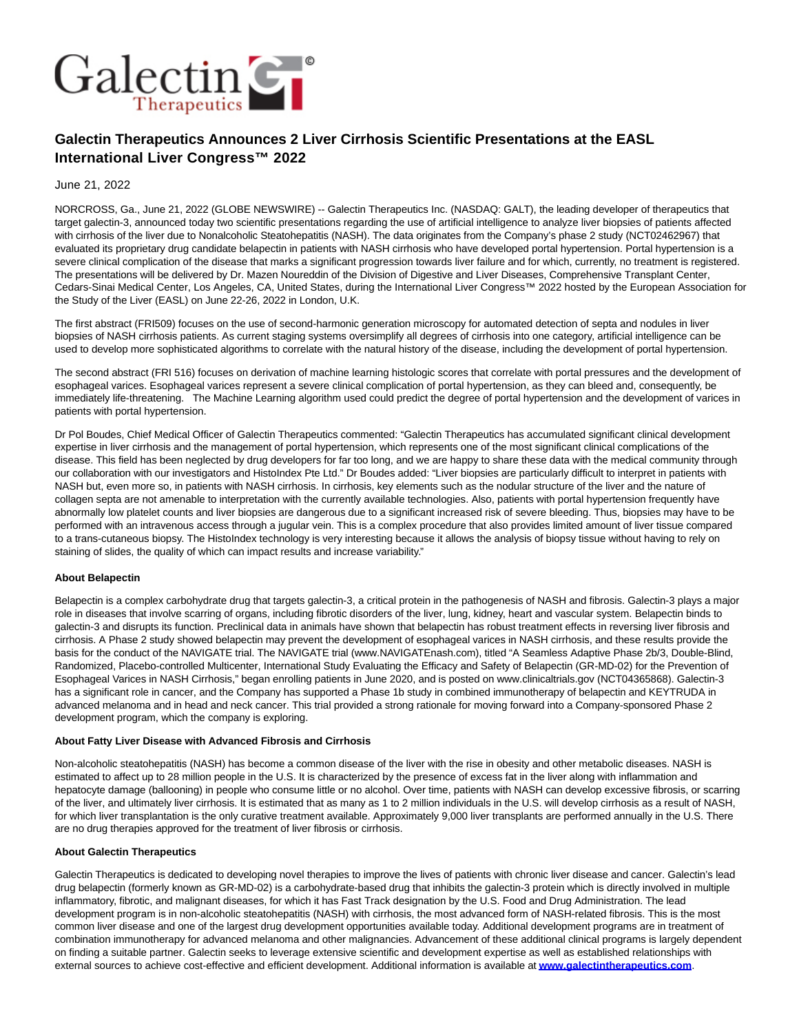

# **Galectin Therapeutics Announces 2 Liver Cirrhosis Scientific Presentations at the EASL International Liver Congress™ 2022**

## June 21, 2022

NORCROSS, Ga., June 21, 2022 (GLOBE NEWSWIRE) -- Galectin Therapeutics Inc. (NASDAQ: GALT), the leading developer of therapeutics that target galectin-3, announced today two scientific presentations regarding the use of artificial intelligence to analyze liver biopsies of patients affected with cirrhosis of the liver due to Nonalcoholic Steatohepatitis (NASH). The data originates from the Company's phase 2 study (NCT02462967) that evaluated its proprietary drug candidate belapectin in patients with NASH cirrhosis who have developed portal hypertension. Portal hypertension is a severe clinical complication of the disease that marks a significant progression towards liver failure and for which, currently, no treatment is registered. The presentations will be delivered by Dr. Mazen Noureddin of the Division of Digestive and Liver Diseases, Comprehensive Transplant Center, Cedars-Sinai Medical Center, Los Angeles, CA, United States, during the International Liver Congress™ 2022 hosted by the European Association for the Study of the Liver (EASL) on June 22-26, 2022 in London, U.K.

The first abstract (FRI509) focuses on the use of second-harmonic generation microscopy for automated detection of septa and nodules in liver biopsies of NASH cirrhosis patients. As current staging systems oversimplify all degrees of cirrhosis into one category, artificial intelligence can be used to develop more sophisticated algorithms to correlate with the natural history of the disease, including the development of portal hypertension.

The second abstract (FRI 516) focuses on derivation of machine learning histologic scores that correlate with portal pressures and the development of esophageal varices. Esophageal varices represent a severe clinical complication of portal hypertension, as they can bleed and, consequently, be immediately life-threatening. The Machine Learning algorithm used could predict the degree of portal hypertension and the development of varices in patients with portal hypertension.

Dr Pol Boudes, Chief Medical Officer of Galectin Therapeutics commented: "Galectin Therapeutics has accumulated significant clinical development expertise in liver cirrhosis and the management of portal hypertension, which represents one of the most significant clinical complications of the disease. This field has been neglected by drug developers for far too long, and we are happy to share these data with the medical community through our collaboration with our investigators and HistoIndex Pte Ltd." Dr Boudes added: "Liver biopsies are particularly difficult to interpret in patients with NASH but, even more so, in patients with NASH cirrhosis. In cirrhosis, key elements such as the nodular structure of the liver and the nature of collagen septa are not amenable to interpretation with the currently available technologies. Also, patients with portal hypertension frequently have abnormally low platelet counts and liver biopsies are dangerous due to a significant increased risk of severe bleeding. Thus, biopsies may have to be performed with an intravenous access through a jugular vein. This is a complex procedure that also provides limited amount of liver tissue compared to a trans-cutaneous biopsy. The HistoIndex technology is very interesting because it allows the analysis of biopsy tissue without having to rely on staining of slides, the quality of which can impact results and increase variability."

### **About Belapectin**

Belapectin is a complex carbohydrate drug that targets galectin-3, a critical protein in the pathogenesis of NASH and fibrosis. Galectin-3 plays a major role in diseases that involve scarring of organs, including fibrotic disorders of the liver, lung, kidney, heart and vascular system. Belapectin binds to galectin-3 and disrupts its function. Preclinical data in animals have shown that belapectin has robust treatment effects in reversing liver fibrosis and cirrhosis. A Phase 2 study showed belapectin may prevent the development of esophageal varices in NASH cirrhosis, and these results provide the basis for the conduct of the NAVIGATE trial. The NAVIGATE trial (www.NAVIGATEnash.com), titled "A Seamless Adaptive Phase 2b/3, Double-Blind, Randomized, Placebo-controlled Multicenter, International Study Evaluating the Efficacy and Safety of Belapectin (GR-MD-02) for the Prevention of Esophageal Varices in NASH Cirrhosis," began enrolling patients in June 2020, and is posted on www.clinicaltrials.gov (NCT04365868). Galectin-3 has a significant role in cancer, and the Company has supported a Phase 1b study in combined immunotherapy of belapectin and KEYTRUDA in advanced melanoma and in head and neck cancer. This trial provided a strong rationale for moving forward into a Company-sponsored Phase 2 development program, which the company is exploring.

#### **About Fatty Liver Disease with Advanced Fibrosis and Cirrhosis**

Non-alcoholic steatohepatitis (NASH) has become a common disease of the liver with the rise in obesity and other metabolic diseases. NASH is estimated to affect up to 28 million people in the U.S. It is characterized by the presence of excess fat in the liver along with inflammation and hepatocyte damage (ballooning) in people who consume little or no alcohol. Over time, patients with NASH can develop excessive fibrosis, or scarring of the liver, and ultimately liver cirrhosis. It is estimated that as many as 1 to 2 million individuals in the U.S. will develop cirrhosis as a result of NASH, for which liver transplantation is the only curative treatment available. Approximately 9,000 liver transplants are performed annually in the U.S. There are no drug therapies approved for the treatment of liver fibrosis or cirrhosis.

#### **About Galectin Therapeutics**

Galectin Therapeutics is dedicated to developing novel therapies to improve the lives of patients with chronic liver disease and cancer. Galectin's lead drug belapectin (formerly known as GR-MD-02) is a carbohydrate-based drug that inhibits the galectin-3 protein which is directly involved in multiple inflammatory, fibrotic, and malignant diseases, for which it has Fast Track designation by the U.S. Food and Drug Administration. The lead development program is in non-alcoholic steatohepatitis (NASH) with cirrhosis, the most advanced form of NASH-related fibrosis. This is the most common liver disease and one of the largest drug development opportunities available today. Additional development programs are in treatment of combination immunotherapy for advanced melanoma and other malignancies. Advancement of these additional clinical programs is largely dependent on finding a suitable partner. Galectin seeks to leverage extensive scientific and development expertise as well as established relationships with external sources to achieve cost-effective and efficient development. Additional information is available at **[www.galectintherapeutics.com](https://www.globenewswire.com/Tracker?data=HUu1wNJm7lPXqR9kevwi6wS1Z4CyCgD-hIuFxkAQ6fdkuz7IhAlIk9Tu5COvO270XUmjoAp5iIJm-ZbxMAkFqgQIulTxi5jdNnSz5qpYhE95xVkeSfRZN9KS5U6RAC4TgMs2VVQVObk6646Dxou9-4ZJ7Wnya0g0gPXoCI_gx2OkSbrciQHXd2s2murCia4ZLy-kGMPrIGSOphjPn4BQb9rzsIcbatBDkt1-fSPG41ydV5vQW9Rs1Ef4AiWKbIOLk9X7cW10oaumRowfJlgjiSRzhcw97KRIfIiEz7i6W3g=)**.